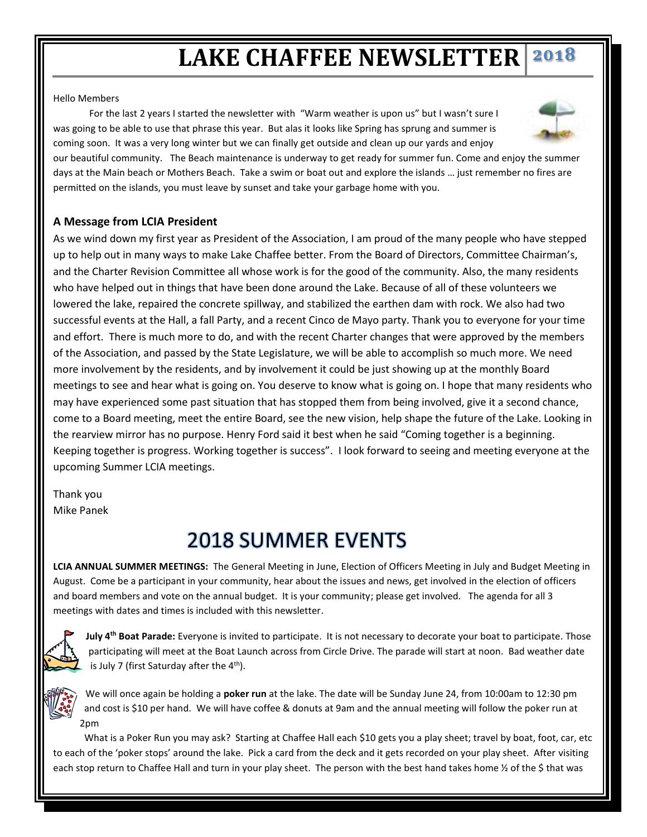## **LAKE CHAFFEE NEWSLETTER 2018**

## Hello Members

 For the last 2 years I started the newsletter with "Warm weather is upon us" but I wasn't sure I was going to be able to use that phrase this year. But alas it looks like Spring has sprung and summer is coming soon. It was a very long winter but we can finally get outside and clean up our yards and enjoy our beautiful community. The Beach maintenance is underway to get ready for summer fun. Come and enjoy the summer days at the Main beach or Mothers Beach. Take a swim or boat out and explore the islands … just remember no fires are

permitted on the islands, you must leave by sunset and take your garbage home with you.



As we wind down my first year as President of the Association, I am proud of the many people who have stepped up to help out in many ways to make Lake Chaffee better. From the Board of Directors, Committee Chairman's, and the Charter Revision Committee all whose work is for the good of the community. Also, the many residents who have helped out in things that have been done around the Lake. Because of all of these volunteers we lowered the lake, repaired the concrete spillway, and stabilized the earthen dam with rock. We also had two successful events at the Hall, a fall Party, and a recent Cinco de Mayo party. Thank you to everyone for your time and effort. There is much more to do, and with the recent Charter changes that were approved by the members of the Association, and passed by the State Legislature, we will be able to accomplish so much more. We need more involvement by the residents, and by involvement it could be just showing up at the monthly Board meetings to see and hear what is going on. You deserve to know what is going on. I hope that many residents who may have experienced some past situation that has stopped them from being involved, give it a second chance, come to a Board meeting, meet the entire Board, see the new vision, help shape the future of the Lake. Looking in the rearview mirror has no purpose. Henry Ford said it best when he said "Coming together is a beginning. Keeping together is progress. Working together is success". I look forward to seeing and meeting everyone at the upcoming Summer LCIA meetings.

Thank you Mike Panek

## 2018 SUMMER EVENTS

**LCIA ANNUAL SUMMER MEETINGS:** The General Meeting in June, Election of Officers Meeting in July and Budget Meeting in August. Come be a participant in your community, hear about the issues and news, get involved in the election of officers and board members and vote on the annual budget. It is your community; please get involved. The agenda for all 3 meetings with dates and times is included with this newsletter.



**July 4th Boat Parade:** Everyone is invited to participate. It is not necessary to decorate your boat to participate. Those participating will meet at the Boat Launch across from Circle Drive. The parade will start at noon. Bad weather date is July 7 (first Saturday after the  $4<sup>th</sup>$ ).

We will once again be holding a **poker run** at the lake. The date will be Sunday June 24, from 10:00am to 12:30 pm and cost is \$10 per hand. We will have coffee & donuts at 9am and the annual meeting will follow the poker run at 2pm

 What is a Poker Run you may ask? Starting at Chaffee Hall each \$10 gets you a play sheet; travel by boat, foot, car, etc to each of the 'poker stops' around the lake. Pick a card from the deck and it gets recorded on your play sheet. After visiting each stop return to Chaffee Hall and turn in your play sheet. The person with the best hand takes home 1/2 of the \$ that was